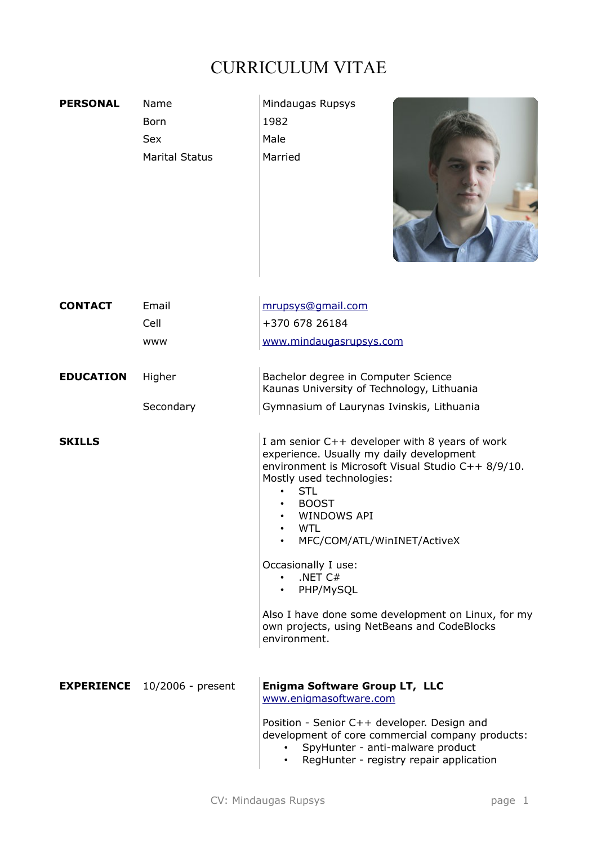## CURRICULUM VITAE

| <b>PERSONAL</b>  | Name<br><b>Born</b><br><b>Sex</b><br><b>Marital Status</b> | Mindaugas Rupsys<br>1982<br>Male<br>Married                                                                                                                                                                                                                                                                                                                                                                                                                             |
|------------------|------------------------------------------------------------|-------------------------------------------------------------------------------------------------------------------------------------------------------------------------------------------------------------------------------------------------------------------------------------------------------------------------------------------------------------------------------------------------------------------------------------------------------------------------|
| <b>CONTACT</b>   | Email<br>Cell<br><b>WWW</b>                                | mrupsys@gmail.com<br>+370 678 26184<br>www.mindaugasrupsys.com                                                                                                                                                                                                                                                                                                                                                                                                          |
| <b>EDUCATION</b> | Higher                                                     | Bachelor degree in Computer Science<br>Kaunas University of Technology, Lithuania                                                                                                                                                                                                                                                                                                                                                                                       |
|                  | Secondary                                                  | Gymnasium of Laurynas Ivinskis, Lithuania                                                                                                                                                                                                                                                                                                                                                                                                                               |
| <b>SKILLS</b>    |                                                            | I am senior C++ developer with 8 years of work<br>experience. Usually my daily development<br>environment is Microsoft Visual Studio C++ 8/9/10.<br>Mostly used technologies:<br><b>STL</b><br><b>BOOST</b><br><b>WINDOWS API</b><br><b>WTL</b><br>MFC/COM/ATL/WinINET/ActiveX<br>Occasionally I use:<br>$\cdot$ .NET C#<br>PHP/MySQL<br>$\bullet$<br>Also I have done some development on Linux, for my<br>own projects, using NetBeans and CodeBlocks<br>environment. |
|                  | <b>EXPERIENCE</b> 10/2006 - present                        | Enigma Software Group LT, LLC<br>www.enigmasoftware.com<br>Position - Senior C++ developer. Design and<br>development of core commercial company products:<br>SpyHunter - anti-malware product<br>RegHunter - registry repair application                                                                                                                                                                                                                               |